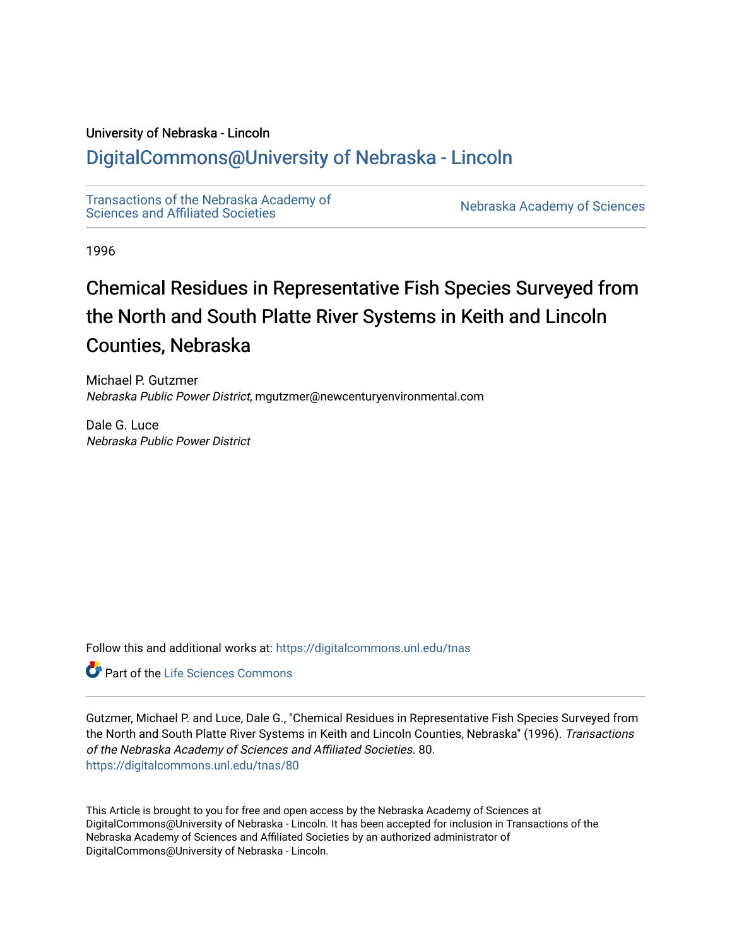# University of Nebraska - Lincoln

# [DigitalCommons@University of Nebraska - Lincoln](https://digitalcommons.unl.edu/)

[Transactions of the Nebraska Academy of](https://digitalcommons.unl.edu/tnas)  Transactions of the Nebraska Academy of Sciences<br>Sciences and Affiliated Societies

1996

# Chemical Residues in Representative Fish Species Surveyed from the North and South Platte River Systems in Keith and Lincoln Counties, Nebraska

Michael P. Gutzmer Nebraska Public Power District, mgutzmer@newcenturyenvironmental.com

Dale G. Luce Nebraska Public Power District

Follow this and additional works at: [https://digitalcommons.unl.edu/tnas](https://digitalcommons.unl.edu/tnas?utm_source=digitalcommons.unl.edu%2Ftnas%2F80&utm_medium=PDF&utm_campaign=PDFCoverPages) 

Part of the [Life Sciences Commons](http://network.bepress.com/hgg/discipline/1016?utm_source=digitalcommons.unl.edu%2Ftnas%2F80&utm_medium=PDF&utm_campaign=PDFCoverPages) 

Gutzmer, Michael P. and Luce, Dale G., "Chemical Residues in Representative Fish Species Surveyed from the North and South Platte River Systems in Keith and Lincoln Counties, Nebraska" (1996). Transactions of the Nebraska Academy of Sciences and Affiliated Societies. 80. [https://digitalcommons.unl.edu/tnas/80](https://digitalcommons.unl.edu/tnas/80?utm_source=digitalcommons.unl.edu%2Ftnas%2F80&utm_medium=PDF&utm_campaign=PDFCoverPages)

This Article is brought to you for free and open access by the Nebraska Academy of Sciences at DigitalCommons@University of Nebraska - Lincoln. It has been accepted for inclusion in Transactions of the Nebraska Academy of Sciences and Affiliated Societies by an authorized administrator of DigitalCommons@University of Nebraska - Lincoln.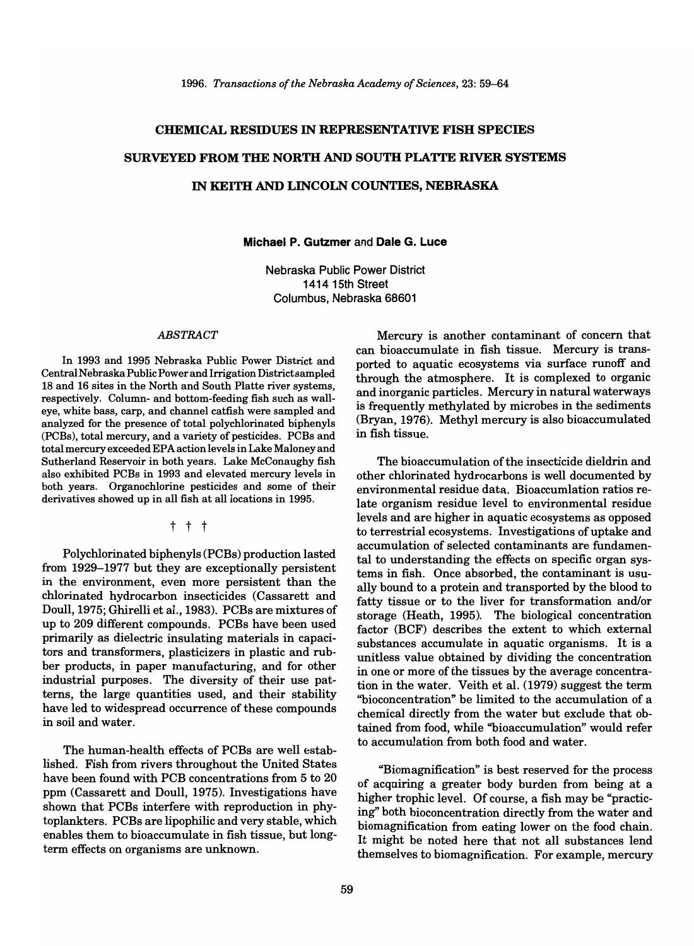# CHEMICAL RESIDUES IN REPRESENTATIVE FISH SPECIES SURVEYED FROM THE NORTH AND SOUTH PLATTE RIVER SYSTEMS

## IN KEITH AND LINCOLN COUNTIES, NEBRASKA

# Michael P. Gutzmer and Dale G. Luce

Nebraska Public Power District 141415th Street Columbus, Nebraska 68601

#### *ABSTRACT*

In 1993 and 1995 Nebraska Public Power District and Central Nebraska Public Power and Irrigation District sampled 18 and 16 sites in the North and South Platte river systems, respectively. Column- and bottom-feeding fish such as walleye, white bass, carp, and channel catfish were sampled and analyzed for the presence of total polychlorinated biphenyls (PCBs), total mercury, and a variety of pesticides. PCBs and total mercury exceeded EPA action levels in Lake Maloney and Sutherland Reservoir in both years. Lake McConaughy fish also exhibited PCBs in 1993 and elevated mercury levels in both years. Organochlorine pesticides and some of their derivatives showed up in all fish at all locations in 1995.

t t t

Polychlorinated biphenyls (PCBs) production lasted from 1929-1977 but they are exceptionally persistent in the environment, even more persistent than the chlorinated hydrocarbon insecticides (Cassarett and Doull, 1975; Ghirelli et al., 1983). PCBs are mixtures of up to 209 different compounds. PCBs have been used primarily as dielectric insulating materials in capacitors and transformers, plasticizers in plastic and rubber products, in paper manufacturing, and for other industrial purposes. The diversity of their use patterns, the large quantities used, and their stability have led to widespread occurrence of these compounds in soil and water.

The human-health effects of PCBs are well established. Fish from rivers throughout the United States have been found with PCB concentrations from 5 to 20 ppm (Cassarett and Doull, 1975). Investigations have shown that PCBs interfere with reproduction in phytoplankters. PCBs are lipophilic and very stable, which enables them to bioaccumulate in fish tissue, but longterm effects on organisms are unknown.

Mercury is another contaminant of concern that can bioaccumulate in fish tissue. Mercury is transported to aquatic ecosystems via surface runoff and through the atmosphere. It is complexed to organic and inorganic particles. Mercury in natural waterways is frequently methylated by microbes in the sediments (Bryan, 1976). Methyl mercury is also bioaccumulated in fish tissue.

The bioaccumulation of the insecticide dieldrin and other chlorinated hydrocarbons is well documented by environmental residue data. Bioaccumlation ratios relate organism residue level to environmental residue levels and are higher in aquatic ecosystems as opposed to terrestrial ecosystems. Investigations of uptake and accumulation of selected contaminants are fundamental to understanding the effects on specific organ systems in fish. Once absorbed, the contaminant is usually bound to a protein and transported by the blood to fatty tissue or to the liver for transformation and/or storage (Heath, 1995). The biological concentration factor (BCF) describes the extent to which external substances accumulate in aquatic organisms. It is a unitless value obtained by dividing the concentration in one or more of the tissues by the average concentration in the water. Veith et al. (1979) suggest the term "bioconcentration" be limited to the accumulation of a chemical directly from the water but exclude that obtained from food, while "bioaccumulation" would refer to accumulation from both food and water.

"Biomagnification" is best reserved for the process of acquiring a greater body burden from being at a higher trophic level. Of course, a fish may be "practicing" both bioconcentration directly from the water and biomagnification from eating lower on the food chain. It might be noted here that not all substances lend themselves to biomagnification. For example, mercury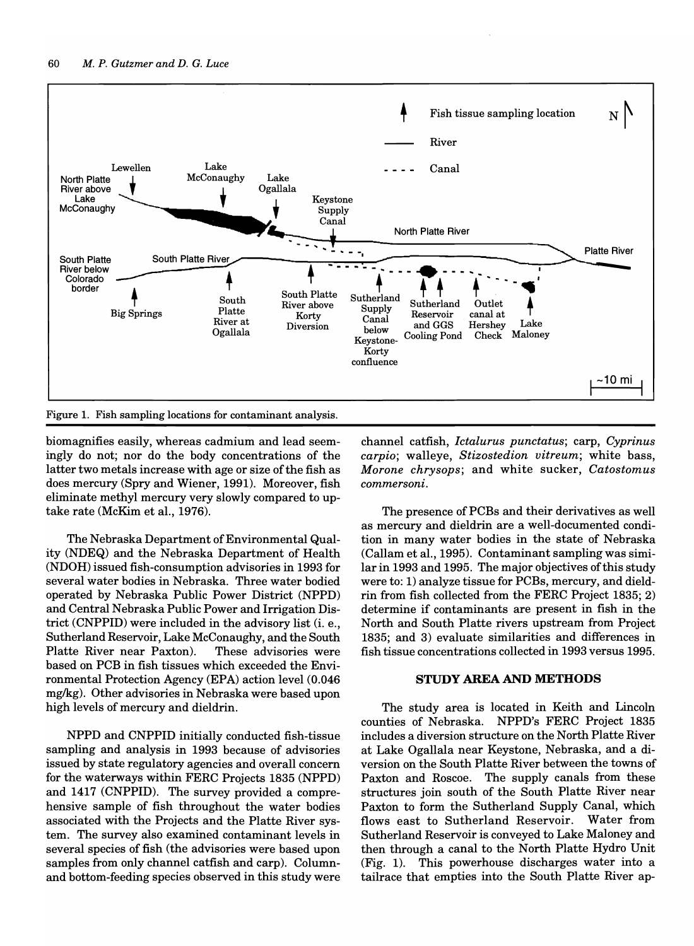

Figure 1. Fish sampling locations for contaminant analysis.

biomagnifies easily, whereas cadmium and lead seemingly do not; nor do the body concentrations of the latter two metals increase with age or size of the fish as does mercury (Spry and Wiener, 1991). Moreover, fish eliminate methyl mercury very slowly compared to uptake rate (McKim et aI., 1976).

The Nebraska Department of Environmental Quality (NDEQ) and the Nebraska Department of Health (NDOH) issued fish-consumption advisories in 1993 for several water bodies in Nebraska. Three water bodied operated by Nebraska Public Power District (NPPD) and Central Nebraska Public Power and Irrigation District (CNPPID) were included in the advisory list (i. e., Sutherland Reservoir, Lake McConaughy, and the South Platte River near Paxton). These advisories were based on PCB in fish tissues which exceeded the Environmental Protection Agency (EPA) action level (0.046 mg/kg). Other advisories in Nebraska were based upon high levels of mercury and dieldrin.

NPPD and CNPPID initially conducted fish-tissue sampling and analysis in 1993 because of advisories issued by state regulatory agencies and overall concern for the waterways within FERC Projects 1835 (NPPD) and 1417 (CNPPID). The survey provided a comprehensive sample of fish throughout the water bodies associated with the Projects and the Platte River system. The survey also examined contaminant levels in several species of fish (the advisories were based upon samples from only channel catfish and carp). Columnand bottom-feeding species observed in this study were

channel catfish, *Ictalurus punctatus;* carp, *Cyprinus carpio;* walleye, *Stizostedion vitreum;* white bass, *Morone chrysops;* and white sucker, *Catostomus commersoni.* 

The presence of PCBs and their derivatives as well as mercury and dieldrin are a well-documented condition in many water bodies in the state of Nebraska (Callam et aI., 1995). Contaminant sampling was similar in 1993 and 1995. The major objectives of this study were to: 1) analyze tissue for PCBs, mercury, and dieldrin from fish collected from the FERC Project 1835; 2) determine if contaminants are present in fish in the North and South Platte rivers upstream from Project 1835; and 3) evaluate similarities and differences in fish tissue concentrations collected in 1993 versus 1995.

#### **STUDY AREA AND METHODS**

The study area is located in Keith and Lincoln counties of Nebraska. NPPD's FERC Project 1835 includes a diversion structure on the North Platte River at Lake Ogallala near Keystone, Nebraska, and a diversion on the South Platte River between the towns of Paxton and Roscoe. The supply canals from these structures join south of the South Platte River near Paxton to form the Sutherland Supply Canal, which flows east to Sutherland Reservoir. Water from Sutherland Reservoir is conveyed to Lake Maloney and then through a canal to the North Platte Hydro Unit (Fig. 1). This powerhouse discharges water into a tailrace that empties into the South Platte River ap-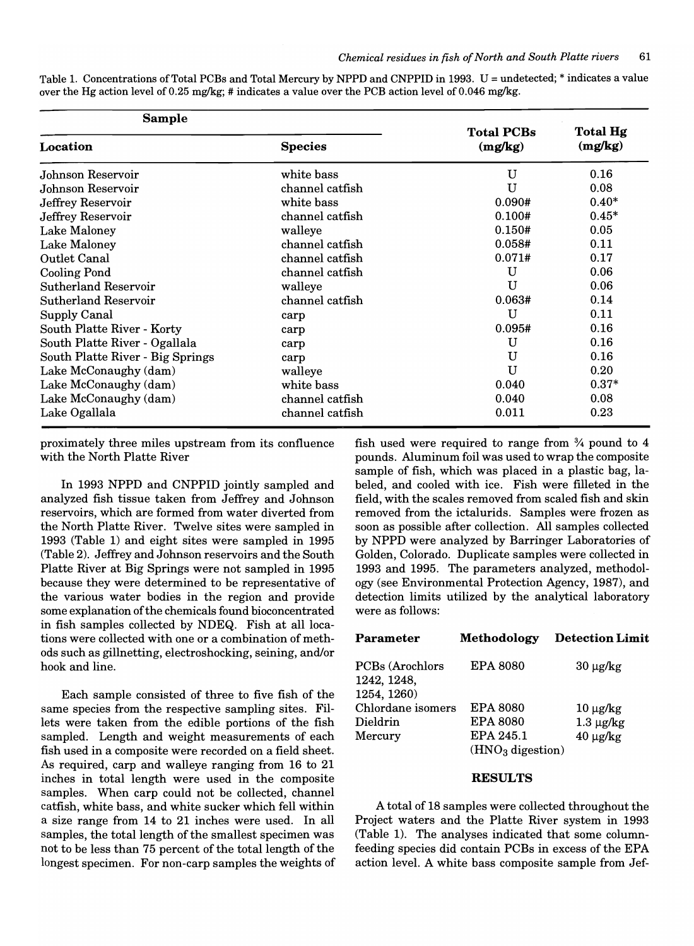| over the Hg action level of 0.25 mg/kg; # indicates a value over the PCB action level of 0.046 mg/kg. |                |                   |          |  |  |  |
|-------------------------------------------------------------------------------------------------------|----------------|-------------------|----------|--|--|--|
| Sample                                                                                                |                | <b>Total PCBs</b> | Total Hg |  |  |  |
| Location                                                                                              | <b>Species</b> | (mg/kg)           | (mg/kg)  |  |  |  |
| Johnson Reservoir                                                                                     | white bass     |                   | 0.16     |  |  |  |

Johnson Reservoir channel catfish U 0.08 Jeffrey Reservoir white bass 0.090# 0.40\* Jeffrey Reservoir channel catfish 0.100# 0.45\* Lake Maloney **1.150 malleyers** walleye **1.150 malleyers** 1.150 magnetic method of  $\theta$ .05 Lake Maloney **channel catfish 6.058#** 0.11 Outlet Canal channel catfish 0.071# 0.17 Cooling Pond channel catfish U 0.06 Sutherland Reservoir and the walleye the walleye the U 0.06 Sutherland Reservoir channel catfish 0.063# 0.14 Supply Canal Carp carp Canal Carp Canal Carp Canal Carp Canal Carp Canal Carp Canal Carp Canal Carp Canal Carp Canal Carp Canad Carp Canad Carp Canad Carp Canad Carp Canad Carp Canad Carp Canad Carp Canad Carp Canad Carp C South Platte River - Korty carp carp carp 0.095# 0.16 South Platte River - Ogallala carp carp COM U 0.16 South Platte River - Big Springs carp Carp U 0.16 Lake McConaughy (dam) walleye U 0.20 Lake McConaughy (dam) white bass 0.040 0.37\* Lake McConaughy (dam) channel catfish 0.040 0.08 Lake Ogallala **channel catfish** 0.011 0.23

Table 1. Concentrations of Total PCBs and Total Mercury by NPPD and CNPPID in 1993. U = undetected; \* indicates a value over the Hg action level of 0.25 mg/kg; # indicates a value over the PCB action level of 0.046 mg/kg.

proximately three miles upstream from its confluence with the North Platte River

In 1993 NPPD and CNPPID jointly sampled and analyzed fish tissue taken from Jeffrey and Johnson reservoirs, which are formed from water diverted from the North Platte River. Twelve sites were sampled in 1993 (Table 1) and eight sites were sampled in 1995 (Table 2). Jeffrey and Johnson reservoirs and the South Platte River at Big Springs were not sampled in 1995 because they were determined to be representative of the various water bodies in the region and provide some explanation of the chemicals found bioconcentrated in fish samples collected by NDEQ. Fish at all locations were collected with one or a combination of methods such as gillnetting, electroshocking, seining, and/or hook and line.

Each sample consisted of three to five fish of the same species from the respective sampling sites. Fillets were taken from the edible portions of the fish sampled. Length and weight measurements of each fish used in a composite were recorded on a field sheet. As required, carp and walleye ranging from 16 to 21 inches in total length were used in the composite samples. When carp could not be collected, channel catfish, white bass, and white sucker which fell within a size range from 14 to 21 inches were used. In all samples, the total length of the smallest specimen was not to be less than 75 percent of the total length of the longest specimen. For non-carp samples the weights of fish used were required to range from  $\frac{3}{4}$  pound to 4 pounds. Aluminum foil was used to wrap the composite sample of fish, which was placed in a plastic bag, labeled, and cooled with ice. Fish were filleted in the field, with the scales removed from scaled fish and skin removed from the ictalurids. Samples were frozen as soon as possible after collection. All samples collected by NPPD were analyzed by Barringer Laboratories of Golden, Colorado. Duplicate samples were collected in 1993 and 1995. The parameters analyzed, methodology (see Environmental Protection Agency, 1987), and detection limits utilized by the analytical laboratory were as follows:

| <b>Parameter</b>                              | Methodology        | <b>Detection Limit</b> |
|-----------------------------------------------|--------------------|------------------------|
| PCBs (Arochlors<br>1242, 1248,<br>1254, 1260) | <b>EPA 8080</b>    | $30 \mu g/kg$          |
| Chlordane isomers                             | <b>EPA 8080</b>    | $10 \mu g/kg$          |
| Dieldrin                                      | <b>EPA 8080</b>    | $1.3 \mu$ g/kg         |
| Mercury                                       | EPA 245.1          | $40 \mu g/kg$          |
|                                               | $(HNO3$ digestion) |                        |

#### RESULTS

A total of 18 samples were collected throughout the Project waters and the Platte River system in 1993 (Table 1). The analyses indicated that some columnfeeding species did contain PCBs in excess of the EPA action level. A white bass composite sample from Jef-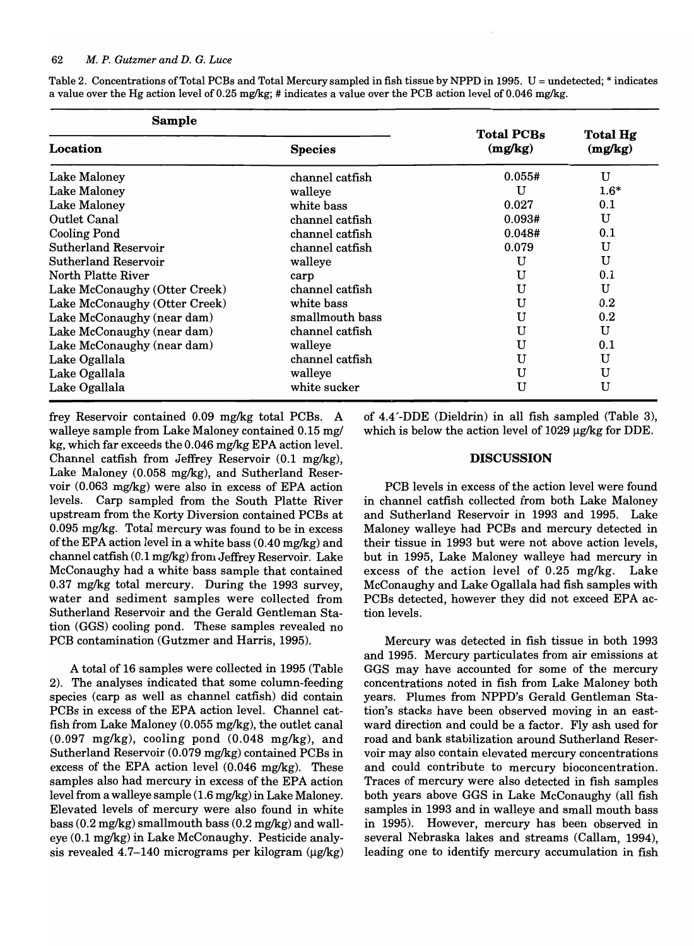| <b>Sample</b>                 |                 |                              |                     |  |
|-------------------------------|-----------------|------------------------------|---------------------|--|
| Location                      | <b>Species</b>  | <b>Total PCBs</b><br>(mg/kg) | Total Hg<br>(mg/kg) |  |
| Lake Maloney                  | channel catfish | 0.055#                       | U                   |  |
| Lake Maloney                  | walleye         | U                            | $1.6*$              |  |
| Lake Maloney                  | white bass      | 0.027                        | 0.1                 |  |
| Outlet Canal                  | channel catfish | 0.093#                       | U                   |  |
| <b>Cooling Pond</b>           | channel catfish | 0.048#                       | 0.1                 |  |
| Sutherland Reservoir          | channel catfish | 0.079                        | U                   |  |
| Sutherland Reservoir          | walleye         | U                            | U                   |  |
| North Platte River            | carp            | U                            | 0.1                 |  |
| Lake McConaughy (Otter Creek) | channel catfish | U                            | U                   |  |
| Lake McConaughy (Otter Creek) | white bass      | U                            | 0.2                 |  |
| Lake McConaughy (near dam)    | smallmouth bass | U                            | $0.2\,$             |  |
| Lake McConaughy (near dam)    | channel catfish | U                            | U                   |  |
| Lake McConaughy (near dam)    | walleye         | U                            | 0.1                 |  |
| Lake Ogallala                 | channel catfish | U                            | U                   |  |
| Lake Ogallala                 | walleye         | U                            | U                   |  |
| Lake Ogallala                 | white sucker    | U                            | U                   |  |

Table 2. Concentrations of Total PCBs and Total Mercury sampled in fish tissue by NPPD in 1995. U = undetected; \* indicates a value over the Hg action level of 0.25 mg/kg; # indicates a value over the PCB action level of 0.046 mg/kg.

frey Reservoir contained 0.09 mg/kg total PCBs. A walleye sample from Lake Maloney contained 0.15 mg/ kg, which far exceeds the 0.046 mg/kg EPA action level. Channel catfish from Jeffrey Reservoir (0.1 mg/kg), Lake Maloney (0.058 mg/kg), and Sutherland Reservoir (0.063 mg/kg) were also in excess of EPA action levels. Carp sampled from the South Platte River upstream from the Korty Diversion contained PCBs at 0.095 mg/kg. Total mercury was found to be in excess of the EPA action level in a white bass  $(0.40 \,\text{mg/kg})$  and channel catfish (0.1 mg/kg) from Jeffrey Reservoir. Lake McConaughy had a white bass sample that contained 0.37 mg/kg total mercury. During the 1993 survey, water and sediment samples were collected from Sutherland Reservoir and the Gerald Gentleman Station (GGS) cooling pond. These samples revealed no PCB contamination (Gutzmer and Harris, 1995).

A total of 16 samples were collected in 1995 (Table 2). The analyses indicated that some column-feeding species (carp as well as channel catfish) did contain PCBs in excess of the EPA action level. Channel catfish from Lake Maloney (0.055 mg/kg), the outlet canal (0.097 mg/kg), cooling pond (0.048 mg/kg), and Sutherland Reservoir (0.079 mg/kg) contained PCBs in excess of the EPA action level (0.046 mg/kg). These samples also had mercury in excess of the EPA action level from a walleye sample (1.6 mg/kg) in Lake Maloney. Elevated levels of mercury were also found in white bass (0.2 mg/kg) smallmouth bass (0.2 mg/kg) and walleye (0.1 mg/kg) in Lake McConaughy. Pesticide analysis revealed 4.7–140 micrograms per kilogram  $(\mu g/kg)$  of 4.4'-DDE (Dieldrin) in all fish sampled (Table 3), which is below the action level of  $1029 \mu g/kg$  for DDE.

### **DISCUSSION**

PCB levels in excess of the action level were found in channel catfish collected from both Lake Maloney and Sutherland Reservoir in 1993 and 1995. Lake Maloney walleye had PCBs and mercury detected in their tissue in 1993 but were not above action levels, but in 1995, Lake Maloney walleye had mercury in excess of the action level of 0.25 mg/kg. Lake McConaughy and Lake Ogallala had fish samples with PCBs detected, however they did not exceed EPA action levels.

Mercury was detected in fish tissue in both 1993 and 1995. Mercury particulates from air emissions at GGS may have accounted for some of the mercury concentrations noted in fish from Lake Maloney both years. Plumes from NPPD's Gerald Gentleman Station's stacks have been observed moving in an eastward direction and could be a factor. Fly ash used for road and bank stabilization around Sutherland Reservoir may also contain elevated mercury concentrations and could contribute to mercury bioconcentration. Traces of mercury were also detected in fish samples both years above GGS in Lake McConaughy (all fish samples in 1993 and in walleye and small mouth bass in 1995). However, mercury has been observed in several Nebraska lakes and streams (Callam, 1994), leading one to identify mercury accumulation in fish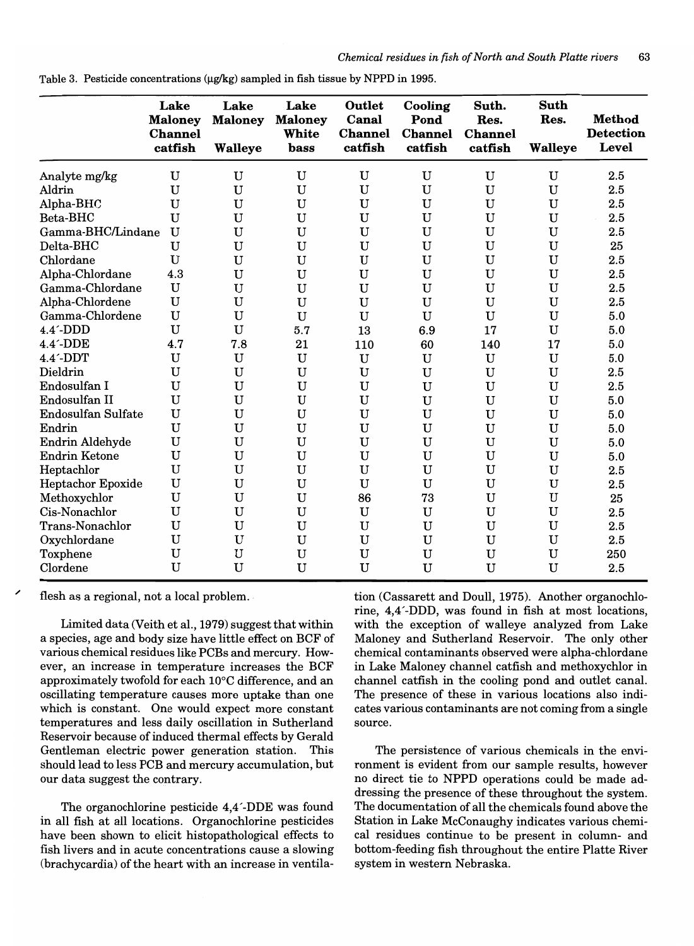|                           | Lake<br><b>Maloney</b><br><b>Channel</b><br>catfish | Lake<br><b>Maloney</b><br><b>Walleye</b> | Lake<br><b>Maloney</b><br>White<br>bass | Outlet<br>Canal<br><b>Channel</b><br>catfish | Cooling<br>Pond<br><b>Channel</b><br>catfish | Suth.<br>Res.<br><b>Channel</b><br>catfish | <b>Suth</b><br>Res.<br><b>Walleye</b> | <b>Method</b><br><b>Detection</b><br><b>Level</b> |
|---------------------------|-----------------------------------------------------|------------------------------------------|-----------------------------------------|----------------------------------------------|----------------------------------------------|--------------------------------------------|---------------------------------------|---------------------------------------------------|
|                           |                                                     |                                          |                                         |                                              |                                              |                                            |                                       |                                                   |
| Analyte mg/kg             | $\mathbf U$                                         | $\mathbf U$                              | $\mathbf U$                             | $\mathbf U$                                  | $\mathbf U$                                  | $\mathbf U$                                | $\mathbf U$                           | 2.5                                               |
| Aldrin                    | $\mathbf U$                                         | U                                        | $\mathbf U$                             | U                                            | U                                            | $\mathbf U$                                | $\mathbf U$                           | 2.5                                               |
| Alpha-BHC                 | U                                                   | $\mathbf U$                              | $\mathbf U$                             | $\mathbf U$                                  | $\mathbf U$                                  | $\mathbf U$                                | $\mathbf U$                           | 2.5                                               |
| Beta-BHC                  | U                                                   | U                                        | U                                       | $\mathbf U$                                  | $\mathbf U$                                  | $\mathbf U$                                | $\mathbf U$                           | 2.5                                               |
| Gamma-BHC/Lindane         | U                                                   | U                                        | U                                       | $\mathbf U$                                  | U                                            | U                                          | $\mathbf U$                           | 2.5                                               |
| Delta-BHC                 | $\mathbf U$                                         | $\mathbf U$                              | U                                       | $\mathbf U$                                  | $\mathbf U$                                  | $\mathbf U$                                | $\mathbf U$                           | 25                                                |
| Chlordane                 | U                                                   | $\mathbf U$                              | $\mathbf U$                             | $\mathbf U$                                  | U                                            | U                                          | $\mathbf U$                           | 2.5                                               |
| Alpha-Chlordane           | 4.3                                                 | U                                        | U                                       | U                                            | U                                            | $\mathbf U$                                | $\mathbf U$                           | 2.5                                               |
| Gamma-Chlordane           | $\mathbf U$                                         | $\mathbf U$                              | $\mathbf U$                             | $\mathbf U$                                  | $\mathbf U$                                  | U                                          | $\mathbf U$                           | 2.5                                               |
| Alpha-Chlordene           | $\mathbf U$                                         | $\mathbf U$                              | $\mathbf U$                             | $\mathbf U$                                  | $\mathbf U$                                  | $\mathbf U$                                | $\mathbf U$                           | 2.5                                               |
| Gamma-Chlordene           | $\mathbf U$                                         | $\mathbf U$                              | $\mathbf U$                             | $\mathbf U$                                  | U                                            | U                                          | $\mathbf U$                           | 5.0                                               |
| $4.4'$ -DDD               | U                                                   | $\mathbf U$                              | 5.7                                     | 13                                           | 6.9                                          | 17                                         | $\mathbf U$                           | 5.0                                               |
| $4.4'$ -DDE               | 4.7                                                 | 7.8                                      | 21                                      | 110                                          | 60                                           | 140                                        | 17                                    | 5.0                                               |
| $4.4'$ -DDT               | U                                                   | $\mathbf U$                              | $\mathbf U$                             | $\mathbf U$                                  | $\mathbf U$                                  | $\mathbf U$                                | $\mathbf U$                           | 5.0                                               |
| Dieldrin                  | U                                                   | U                                        | $\mathbf U$                             | $\mathbf U$                                  | U                                            | $\mathbf U$                                | $\mathbf U$                           | 2.5                                               |
| Endosulfan I              | U                                                   | U                                        | $\mathbf U$                             | $\mathbf U$                                  | U                                            | U                                          | $\mathbf U$                           | 2.5                                               |
| Endosulfan II             | U                                                   | $\mathbf U$                              | $\mathbf U$                             | $\mathbf U$                                  | U                                            | U                                          | $\mathbf U$                           | 5.0                                               |
| <b>Endosulfan Sulfate</b> | U                                                   | U                                        | $\mathbf U$                             | $\mathbf U$                                  | U                                            | U                                          | $\mathbf U$                           | 5.0                                               |
| Endrin                    | U                                                   | U                                        | $\mathbf U$                             | $\mathbf U$                                  | U                                            | $\mathbf U$                                | $\mathbf U$                           | 5.0                                               |
| Endrin Aldehyde           | U                                                   | $\mathbf U$                              | $\mathbf U$                             | $\mathbf U$                                  | U                                            | $\mathbf U$                                | $\mathbf U$                           | 5.0                                               |
| <b>Endrin Ketone</b>      | U                                                   | $\mathbf U$                              | $\mathbf U$                             | $\mathbf U$                                  | $\mathbf U$                                  | $\mathbf U$                                | $\mathbf U$                           | 5.0                                               |
| Heptachlor                | U                                                   | $\mathbf U$                              | U                                       | $\mathbf U$                                  | U                                            | U                                          | $\mathbf U$                           | 2.5                                               |
| Heptachor Epoxide         | $\mathbf U$                                         | $\mathbf U$                              | $\mathbf U$                             | $\mathbf U$                                  | $\mathbf U$                                  | $\mathbf U$                                | $\mathbf U$                           | 2.5                                               |
| Methoxychlor              | U                                                   | U                                        | $\mathbf U$                             | 86                                           | 73                                           | $\mathbf{U}$                               | $\mathbf U$                           | 25                                                |
| Cis-Nonachlor             | U                                                   | $\mathbf U$                              | $\mathbf U$                             | $\mathbf U$                                  | U                                            | $\mathbf U$                                | $\mathbf U$                           | 2.5                                               |
| Trans-Nonachlor           | U                                                   | U                                        | $\mathbf U$                             | $\mathbf U$                                  | U                                            | $\mathbf U$                                | $\mathbf U$                           | 2.5                                               |
| Oxychlordane              | U                                                   | $\mathbf U$                              | $\mathbf U$                             | $\mathbf U$                                  | $\mathbf U$                                  | $\mathbf U$                                | U                                     | 2.5                                               |
| Toxphene                  | U                                                   | U                                        | $\mathbf U$                             | $\mathbf U$                                  | $\mathbf U$                                  | $\mathbf U$                                | U                                     | 250                                               |
| Clordene                  | U                                                   | $\mathbf U$                              | U                                       | U                                            | U                                            | U                                          | U                                     | 2.5                                               |

Table 3. Pesticide concentrations  $(\mu g / kg)$  sampled in fish tissue by NPPD in 1995.

flesh as a regional, not a local problem.

Limited data (Veith et aI., 1979) suggest that within a species, age and body size have little effect on BCF of various chemical residues like PCBs and mercury. However, an increase in temperature increases the BCF approximately twofold for each  $10^{\circ}$ C difference, and an oscillating temperature causes more uptake than one which is constant. One would expect more constant temperatures and less daily oscillation in Sutherland Reservoir because of induced thermal effects by Gerald Gentleman electric power generation station. This should lead to less PCB and mercury accumulation, but our data suggest the contrary.

The organochlorine pesticide 4,4'-DDE was found in all fish at all locations. Organochlorine pesticides have been shown to elicit histopathological effects to fish livers and in acute concentrations cause a slowing (brachycardia) of the heart with an increase in ventilation (Cassarett and Doull, 1975). Another organochlorine, 4,4'-DDD, was found in fish at most locations, with the exception of walleye analyzed from Lake Maloney and Sutherland Reservoir. The only other chemical contaminants observed were alpha-chlordane in Lake Maloney channel catfish and methoxychlor in channel catfish in the cooling pond and outlet canal. The presence of these in various locations also indicates various contaminants are not coming from a single source.

The persistence of various chemicals in the environment is evident from our sample results, however no direct tie to NPPD operations could be made addressing the presence of these throughout the system. The documentation of all the chemicals found above the Station in Lake McConaughy indicates various chemical residues continue to be present in column- and bottom-feeding fish throughout the entire Platte River system in western Nebraska.